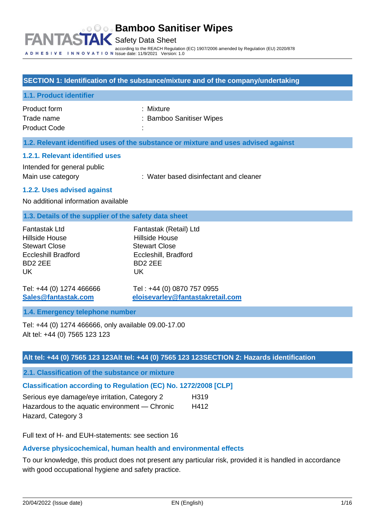#### **SECTION 1: Identification of the substance/mixture and of the company/undertaking**

| 1.1. Product identifier |                          |
|-------------------------|--------------------------|
| Product form            | : Mixture                |
| Trade name              | : Bamboo Sanitiser Wipes |
| <b>Product Code</b>     | ٠                        |

#### **1.2. Relevant identified uses of the substance or mixture and uses advised against**

### **1.2.1. Relevant identified uses**

Intended for general public

Main use category **Exercise 20** : Water based disinfectant and cleaner

#### **1.2.2. Uses advised against**

No additional information available

#### **1.3. Details of the supplier of the safety data sheet**

| Fantastak Ltd              | Fantastak (Retail) Ltd |
|----------------------------|------------------------|
| Hillside House             | <b>Hillside House</b>  |
| <b>Stewart Close</b>       | <b>Stewart Close</b>   |
| <b>Eccleshill Bradford</b> | Eccleshill, Bradford   |
| BD <sub>2</sub> 2EE        | BD <sub>2</sub> 2FF    |
| UK                         | UK                     |
|                            |                        |

Tel: +44 (0) 1274 466666 Tel : +44 (0) 0870 757 0955 **[Sales@fantastak.com](mailto:Sales@fantastak.com) [eloisevarley@fantastakretail.com](mailto:eloisevarley@fantastakretail.com)**

#### **1.4. Emergency telephone number**

Tel: +44 (0) 1274 466666, only available 09.00-17.00 Alt tel: +44 (0) 7565 123 123

#### **Alt tel: +44 (0) 7565 123 123Alt tel: +44 (0) 7565 123 123SECTION 2: Hazards identification**

**2.1. Classification of the substance or mixture**

## **Classification according to Regulation (EC) No. 1272/2008 [CLP]**

| Serious eye damage/eye irritation, Category 2  | H319 |
|------------------------------------------------|------|
| Hazardous to the aquatic environment — Chronic | H412 |
| Hazard, Category 3                             |      |

Full text of H- and EUH-statements: see section 16

## **Adverse physicochemical, human health and environmental effects**

To our knowledge, this product does not present any particular risk, provided it is handled in accordance with good occupational hygiene and safety practice.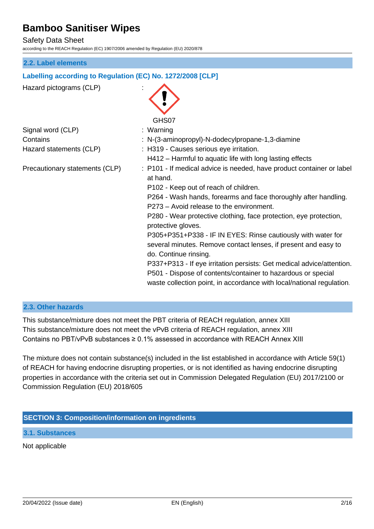Safety Data Sheet

according to the REACH Regulation (EC) 1907/2006 amended by Regulation (EU) 2020/878

#### **2.2. Label elements**

#### **Labelling according to Regulation (EC) No. 1272/2008 [CLP]**

Hazard pictograms (CLP) : GHS07 Signal word (CLP) : Warning Contains : N-(3-aminopropyl)-N-dodecylpropane-1,3-diamine Hazard statements (CLP) : H319 - Causes serious eye irritation. H412 – Harmful to aquatic life with long lasting effects Precautionary statements (CLP) : P101 - If medical advice is needed, have product container or label at hand. P102 - Keep out of reach of children. P264 - Wash hands, forearms and face thoroughly after handling. P273 – Avoid release to the environment. P280 - Wear protective clothing, face protection, eye protection, protective gloves. P305+P351+P338 - IF IN EYES: Rinse cautiously with water for several minutes. Remove contact lenses, if present and easy to do. Continue rinsing. P337+P313 - If eye irritation persists: Get medical advice/attention. P501 - Dispose of contents/container to hazardous or special waste collection point, in accordance with local/national regulation.

#### **2.3. Other hazards**

This substance/mixture does not meet the PBT criteria of REACH regulation, annex XIII This substance/mixture does not meet the vPvB criteria of REACH regulation, annex XIII Contains no PBT/vPvB substances  $\geq 0.1\%$  assessed in accordance with REACH Annex XIII

The mixture does not contain substance(s) included in the list established in accordance with Article 59(1) of REACH for having endocrine disrupting properties, or is not identified as having endocrine disrupting properties in accordance with the criteria set out in Commission Delegated Regulation (EU) 2017/2100 or Commission Regulation (EU) 2018/605

#### **SECTION 3: Composition/information on ingredients**

**3.1. Substances**

Not applicable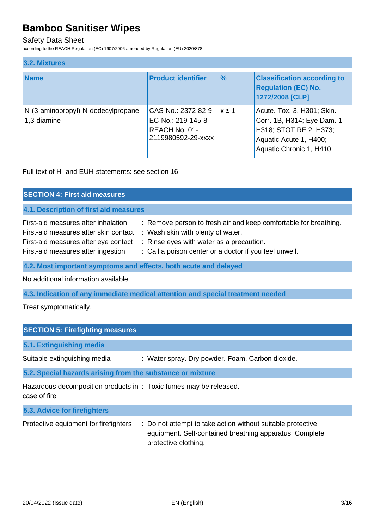#### Safety Data Sheet

according to the REACH Regulation (EC) 1907/2006 amended by Regulation (EU) 2020/878

| 3.2. Mixtures                                      |                                                                                |               |                                                                                                                                          |
|----------------------------------------------------|--------------------------------------------------------------------------------|---------------|------------------------------------------------------------------------------------------------------------------------------------------|
| <b>Name</b>                                        | <b>Product identifier</b>                                                      | $\frac{9}{6}$ | <b>Classification according to</b><br><b>Regulation (EC) No.</b><br>1272/2008 [CLP]                                                      |
| N-(3-aminopropyl)-N-dodecylpropane-<br>1,3-diamine | CAS-No.: 2372-82-9<br>EC-No.: 219-145-8<br>REACH No: 01-<br>2119980592-29-xxxx | $x \leq 1$    | Acute. Tox. 3, H301; Skin.<br>Corr. 1B, H314; Eye Dam. 1,<br>H318; STOT RE 2, H373;<br>Aquatic Acute 1, H400;<br>Aquatic Chronic 1, H410 |

Full text of H- and EUH-statements: see section 16

| <b>SECTION 4: First aid measures</b>                                                                                                                       |                                                                                                                                                                                                             |  |  |
|------------------------------------------------------------------------------------------------------------------------------------------------------------|-------------------------------------------------------------------------------------------------------------------------------------------------------------------------------------------------------------|--|--|
| 4.1. Description of first aid measures                                                                                                                     |                                                                                                                                                                                                             |  |  |
| First-aid measures after inhalation<br>First-aid measures after skin contact<br>First-aid measures after eye contact<br>First-aid measures after ingestion | : Remove person to fresh air and keep comfortable for breathing.<br>: Wash skin with plenty of water.<br>: Rinse eyes with water as a precaution.<br>: Call a poison center or a doctor if you feel unwell. |  |  |
| 4.2. Most important symptoms and effects, both acute and delayed                                                                                           |                                                                                                                                                                                                             |  |  |

No additional information available

**4.3. Indication of any immediate medical attention and special treatment needed**

Treat symptomatically.

| <b>SECTION 5: Firefighting measures</b>                                           |                                                  |  |  |
|-----------------------------------------------------------------------------------|--------------------------------------------------|--|--|
| 5.1. Extinguishing media                                                          |                                                  |  |  |
| Suitable extinguishing media                                                      | : Water spray. Dry powder. Foam. Carbon dioxide. |  |  |
| 5.2. Special hazards arising from the substance or mixture                        |                                                  |  |  |
| Hazardous decomposition products in: Toxic fumes may be released.<br>case of fire |                                                  |  |  |
| 5.3. Advice for firefighters                                                      |                                                  |  |  |

| Protective equipment for firefighters | : Do not attempt to take action without suitable protective<br>equipment. Self-contained breathing apparatus. Complete |
|---------------------------------------|------------------------------------------------------------------------------------------------------------------------|
|                                       | protective clothing.                                                                                                   |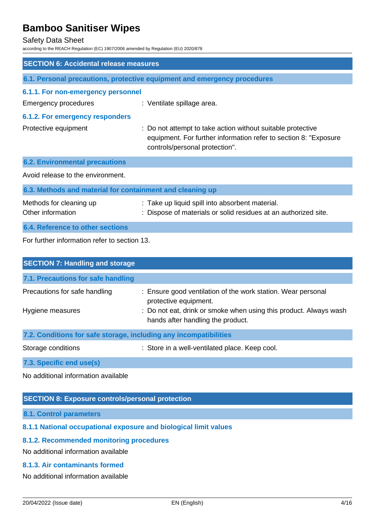#### Safety Data Sheet

according to the REACH Regulation (EC) 1907/2006 amended by Regulation (EU) 2020/878

| <b>SECTION 6: Accidental release measures</b>             |                                                                                                                                                                   |  |  |
|-----------------------------------------------------------|-------------------------------------------------------------------------------------------------------------------------------------------------------------------|--|--|
|                                                           | 6.1. Personal precautions, protective equipment and emergency procedures                                                                                          |  |  |
| 6.1.1. For non-emergency personnel                        |                                                                                                                                                                   |  |  |
| <b>Emergency procedures</b>                               | : Ventilate spillage area.                                                                                                                                        |  |  |
| <b>6.1.2. For emergency responders</b>                    |                                                                                                                                                                   |  |  |
| Protective equipment                                      | : Do not attempt to take action without suitable protective<br>equipment. For further information refer to section 8: "Exposure<br>controls/personal protection". |  |  |
| <b>6.2. Environmental precautions</b>                     |                                                                                                                                                                   |  |  |
| Avoid release to the environment.                         |                                                                                                                                                                   |  |  |
| 6.3. Methods and material for containment and cleaning up |                                                                                                                                                                   |  |  |
| Methods for cleaning up<br>Other information              | : Take up liquid spill into absorbent material.<br>: Dispose of materials or solid residues at an authorized site.                                                |  |  |
| <b>6.4. Reference to other sections</b>                   |                                                                                                                                                                   |  |  |
| For further information refer to section 13.              |                                                                                                                                                                   |  |  |

| <b>SECTION 7: Handling and storage</b>                                                                                                                                                                                                                                                                                                               |                                                                                                        |  |  |
|------------------------------------------------------------------------------------------------------------------------------------------------------------------------------------------------------------------------------------------------------------------------------------------------------------------------------------------------------|--------------------------------------------------------------------------------------------------------|--|--|
| 7.1. Precautions for safe handling                                                                                                                                                                                                                                                                                                                   |                                                                                                        |  |  |
| Precautions for safe handling                                                                                                                                                                                                                                                                                                                        | : Ensure good ventilation of the work station. Wear personal<br>protective equipment.                  |  |  |
| Hygiene measures                                                                                                                                                                                                                                                                                                                                     | : Do not eat, drink or smoke when using this product. Always wash<br>hands after handling the product. |  |  |
| 7.2. Conditions for safe storage, including any incompatibilities                                                                                                                                                                                                                                                                                    |                                                                                                        |  |  |
| Storage conditions                                                                                                                                                                                                                                                                                                                                   | : Store in a well-ventilated place. Keep cool.                                                         |  |  |
| $\overline{z}$ 0.0. $\overline{z}$ = $\overline{z}$ = $\overline{z}$ = $\overline{z}$ = $\overline{z}$ = $\overline{z}$ = $\overline{z}$ = $\overline{z}$ = $\overline{z}$ = $\overline{z}$ = $\overline{z}$ = $\overline{z}$ = $\overline{z}$ = $\overline{z}$ = $\overline{z}$ = $\overline{z}$ = $\overline{z}$ = $\overline{z}$ = $\overline{z}$ |                                                                                                        |  |  |

**7.3. Specific end use(s)**

No additional information available

## **SECTION 8: Exposure controls/personal protection**

**8.1. Control parameters**

## **8.1.1 National occupational exposure and biological limit values**

## **8.1.2. Recommended monitoring procedures**

No additional information available

## **8.1.3. Air contaminants formed**

No additional information available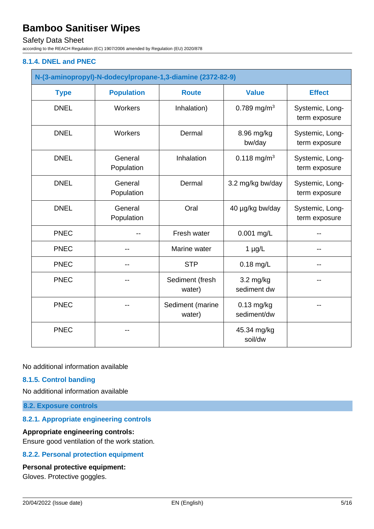### Safety Data Sheet

according to the REACH Regulation (EC) 1907/2006 amended by Regulation (EU) 2020/878

#### **8.1.4. DNEL and PNEC**

| N-(3-aminopropyl)-N-dodecylpropane-1,3-diamine (2372-82-9) |                       |                            |                                    |                                  |
|------------------------------------------------------------|-----------------------|----------------------------|------------------------------------|----------------------------------|
| <b>Type</b>                                                | <b>Population</b>     | <b>Route</b>               | <b>Value</b>                       | <b>Effect</b>                    |
| <b>DNEL</b>                                                | Workers               | Inhalation)                | 0.789 mg/m <sup>3</sup>            | Systemic, Long-<br>term exposure |
| <b>DNEL</b>                                                | Workers               | Dermal                     | 8.96 mg/kg<br>bw/day               | Systemic, Long-<br>term exposure |
| <b>DNEL</b>                                                | General<br>Population | Inhalation                 | 0.118 mg/m <sup>3</sup>            | Systemic, Long-<br>term exposure |
| <b>DNEL</b>                                                | General<br>Population | Dermal                     | 3.2 mg/kg bw/day                   | Systemic, Long-<br>term exposure |
| <b>DNEL</b>                                                | General<br>Population | Oral                       | 40 µg/kg bw/day                    | Systemic, Long-<br>term exposure |
| <b>PNEC</b>                                                |                       | Fresh water                | 0.001 mg/L                         |                                  |
| <b>PNEC</b>                                                |                       | Marine water               | $1 \mu g/L$                        | --                               |
| <b>PNEC</b>                                                |                       | <b>STP</b>                 | $0.18$ mg/L                        |                                  |
| <b>PNEC</b>                                                |                       | Sediment (fresh<br>water)  | $3.2 \text{ mg/kg}$<br>sediment dw |                                  |
| <b>PNEC</b>                                                |                       | Sediment (marine<br>water) | $0.13$ mg/kg<br>sediment/dw        |                                  |
| <b>PNEC</b>                                                |                       |                            | 45.34 mg/kg<br>soil/dw             |                                  |

No additional information available

### **8.1.5. Control banding**

No additional information available

**8.2. Exposure controls**

### **8.2.1. Appropriate engineering controls**

#### **Appropriate engineering controls:**

Ensure good ventilation of the work station.

### **8.2.2. Personal protection equipment**

#### **Personal protective equipment:**

Gloves. Protective goggles.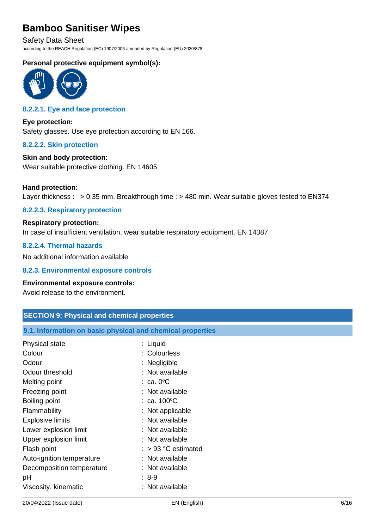Safety Data Sheet according to the REACH Regulation (EC) 1907/2006 amended by Regulation (EU) 2020/878

### **Personal protective equipment symbol(s):**



## **8.2.2.1. Eye and face protection**

**Eye protection:** Safety glasses. Use eye protection according to EN 166.

#### **8.2.2.2. Skin protection**

## **Skin and body protection:**

Wear suitable protective clothing. EN 14605

#### **Hand protection:**

Layer thickness : > 0.35 mm. Breakthrough time : > 480 min. Wear suitable gloves tested to EN374

#### **8.2.2.3. Respiratory protection**

## **Respiratory protection:** In case of insufficient ventilation, wear suitable respiratory equipment. EN 14387

#### **8.2.2.4. Thermal hazards**

No additional information available

#### **8.2.3. Environmental exposure controls**

#### **Environmental exposure controls:**

Avoid release to the environment.

| <b>SECTION 9: Physical and chemical properties</b>         |                       |  |  |
|------------------------------------------------------------|-----------------------|--|--|
| 9.1. Information on basic physical and chemical properties |                       |  |  |
| Physical state                                             | : Liquid              |  |  |
| Colour                                                     | : Colourless          |  |  |
| Odour                                                      | : Negligible          |  |  |
| Odour threshold                                            | : Not available       |  |  |
| Melting point                                              | $: ca. 0^{\circ}C$    |  |  |
| Freezing point                                             | : Not available       |  |  |
| Boiling point                                              | : ca. $100^{\circ}$ C |  |  |
| Flammability                                               | : Not applicable      |  |  |
| <b>Explosive limits</b>                                    | : Not available       |  |  |
| Lower explosion limit                                      | : Not available       |  |  |
| Upper explosion limit                                      | : Not available       |  |  |
| Flash point                                                | $:$ > 93 °C estimated |  |  |
| Auto-ignition temperature                                  | : Not available       |  |  |
| Decomposition temperature                                  | : Not available       |  |  |
| рH                                                         | $: 8-9$               |  |  |
| Viscosity, kinematic                                       | : Not available       |  |  |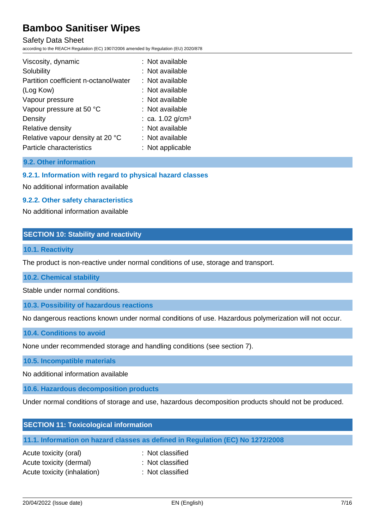Safety Data Sheet

according to the REACH Regulation (EC) 1907/2006 amended by Regulation (EU) 2020/878

| Viscosity, dynamic                    | : Not available                |
|---------------------------------------|--------------------------------|
| Solubility                            | : Not available                |
| Partition coefficient n-octanol/water | : Not available                |
| (Log Kow)                             | : Not available                |
| Vapour pressure                       | : Not available                |
| Vapour pressure at 50 °C              | : Not available                |
| Density                               | : ca. $1.02$ g/cm <sup>3</sup> |
| Relative density                      | : Not available                |
| Relative vapour density at 20 °C      | : Not available                |
| Particle characteristics              | : Not applicable               |

### **9.2. Other information**

### **9.2.1. Information with regard to physical hazard classes**

No additional information available

#### **9.2.2. Other safety characteristics**

No additional information available

#### **SECTION 10: Stability and reactivity**

#### **10.1. Reactivity**

The product is non-reactive under normal conditions of use, storage and transport.

#### **10.2. Chemical stability**

Stable under normal conditions.

#### **10.3. Possibility of hazardous reactions**

No dangerous reactions known under normal conditions of use. Hazardous polymerization will not occur.

#### **10.4. Conditions to avoid**

None under recommended storage and handling conditions (see section 7).

#### **10.5. Incompatible materials**

No additional information available

### **10.6. Hazardous decomposition products**

Under normal conditions of storage and use, hazardous decomposition products should not be produced.

| <b>SECTION 11: Toxicological information</b>                                   |
|--------------------------------------------------------------------------------|
| 11.1. Information on hazard classes as defined in Regulation (EC) No 1272/2008 |

| Acute toxicity (oral)       | : Not classified |
|-----------------------------|------------------|
| Acute toxicity (dermal)     | : Not classified |
| Acute toxicity (inhalation) | : Not classified |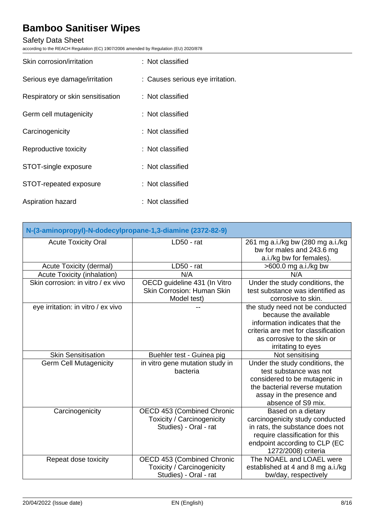# Safety Data Sheet

according to the REACH Regulation (EC) 1907/2006 amended by Regulation (EU) 2020/878

| Skin corrosion/irritation         | : Not classified                 |
|-----------------------------------|----------------------------------|
| Serious eye damage/irritation     | : Causes serious eye irritation. |
| Respiratory or skin sensitisation | : Not classified                 |
| Germ cell mutagenicity            | : Not classified                 |
| Carcinogenicity                   | : Not classified                 |
| Reproductive toxicity             | : Not classified                 |
| STOT-single exposure              | : Not classified                 |
| STOT-repeated exposure            | : Not classified                 |
| Aspiration hazard                 | : Not classified                 |

| N-(3-aminopropyl)-N-dodecylpropane-1,3-diamine (2372-82-9) |                                                                                   |                                                                                                                                                                                        |
|------------------------------------------------------------|-----------------------------------------------------------------------------------|----------------------------------------------------------------------------------------------------------------------------------------------------------------------------------------|
| <b>Acute Toxicity Oral</b>                                 | LD50 - rat                                                                        | 261 mg a.i./kg bw (280 mg a.i./kg<br>bw for males and 243.6 mg<br>a.i./kg bw for females).                                                                                             |
| Acute Toxicity (dermal)                                    | LD50 - rat                                                                        | >600.0 mg a.i./kg bw                                                                                                                                                                   |
| Acute Toxicity (inhalation)                                | N/A                                                                               | N/A                                                                                                                                                                                    |
| Skin corrosion: in vitro / ex vivo                         | OECD guideline 431 (In Vitro<br><b>Skin Corrosion: Human Skin</b><br>Model test)  | Under the study conditions, the<br>test substance was identified as<br>corrosive to skin.                                                                                              |
| eye irritation: in vitro / ex vivo                         |                                                                                   | the study need not be conducted<br>because the available<br>information indicates that the<br>criteria are met for classification<br>as corrosive to the skin or<br>irritating to eyes |
| <b>Skin Sensitisation</b>                                  | Buehler test - Guinea pig                                                         | Not sensitising                                                                                                                                                                        |
| <b>Germ Cell Mutagenicity</b>                              | in vitro gene mutation study in<br>bacteria                                       | Under the study conditions, the<br>test substance was not<br>considered to be mutagenic in<br>the bacterial reverse mutation<br>assay in the presence and<br>absence of S9 mix.        |
| Carcinogenicity                                            | OECD 453 (Combined Chronic<br>Toxicity / Carcinogenicity<br>Studies) - Oral - rat | Based on a dietary<br>carcinogenicity study conducted<br>in rats, the substance does not<br>require classification for this<br>endpoint according to CLP (EC<br>1272/2008) criteria    |
| Repeat dose toxicity                                       | OECD 453 (Combined Chronic<br>Toxicity / Carcinogenicity<br>Studies) - Oral - rat | The NOAEL and LOAEL were<br>established at 4 and 8 mg a.i./kg<br>bw/day, respectively                                                                                                  |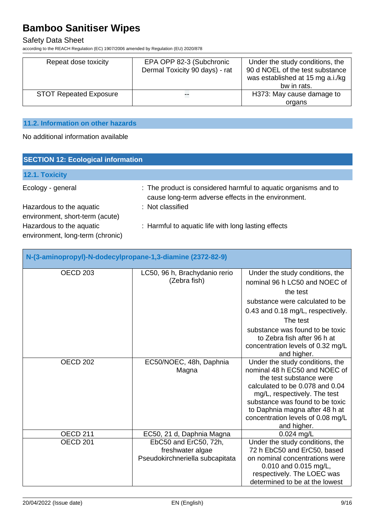# Safety Data Sheet

according to the REACH Regulation (EC) 1907/2006 amended by Regulation (EU) 2020/878

| Repeat dose toxicity          | EPA OPP 82-3 (Subchronic<br>Dermal Toxicity 90 days) - rat | Under the study conditions, the<br>90 d NOEL of the test substance<br>was established at 15 mg a.i./kg<br>bw in rats. |
|-------------------------------|------------------------------------------------------------|-----------------------------------------------------------------------------------------------------------------------|
| <b>STOT Repeated Exposure</b> | --                                                         | H373: May cause damage to                                                                                             |
|                               |                                                            | organs                                                                                                                |

# **11.2. Information on other hazards**

No additional information available

| <b>SECTION 12: Ecological information</b>                    |                                                                                                                        |  |
|--------------------------------------------------------------|------------------------------------------------------------------------------------------------------------------------|--|
| 12.1. Toxicity                                               |                                                                                                                        |  |
| Ecology - general                                            | : The product is considered harmful to aquatic organisms and to<br>cause long-term adverse effects in the environment. |  |
| Hazardous to the aquatic<br>environment, short-term (acute)  | : Not classified                                                                                                       |  |
| Hazardous to the aquatic<br>environment, long-term (chronic) | : Harmful to aquatic life with long lasting effects                                                                    |  |

| N-(3-aminopropyl)-N-dodecylpropane-1,3-diamine (2372-82-9) |                                                                              |                                                                                                                                                                                                                                                                                         |
|------------------------------------------------------------|------------------------------------------------------------------------------|-----------------------------------------------------------------------------------------------------------------------------------------------------------------------------------------------------------------------------------------------------------------------------------------|
| <b>OECD 203</b>                                            | LC50, 96 h, Brachydanio rerio<br>(Zebra fish)                                | Under the study conditions, the<br>nominal 96 h LC50 and NOEC of<br>the test<br>substance were calculated to be<br>0.43 and 0.18 mg/L, respectively.<br>The test<br>substance was found to be toxic<br>to Zebra fish after 96 h at<br>concentration levels of 0.32 mg/L<br>and higher.  |
| OECD <sub>202</sub>                                        | EC50/NOEC, 48h, Daphnia<br>Magna                                             | Under the study conditions, the<br>nominal 48 h EC50 and NOEC of<br>the test substance were<br>calculated to be 0.078 and 0.04<br>mg/L, respectively. The test<br>substance was found to be toxic<br>to Daphnia magna after 48 h at<br>concentration levels of 0.08 mg/L<br>and higher. |
| <b>OECD 211</b>                                            | EC50, 21 d, Daphnia Magna                                                    | 0.024 mg/L                                                                                                                                                                                                                                                                              |
| OECD <sub>201</sub>                                        | EbC50 and ErC50, 72h,<br>freshwater algae<br>Pseudokirchneriella subcapitata | Under the study conditions, the<br>72 h EbC50 and ErC50, based<br>on nominal concentrations were<br>0.010 and 0.015 mg/L,<br>respectively. The LOEC was<br>determined to be at the lowest                                                                                               |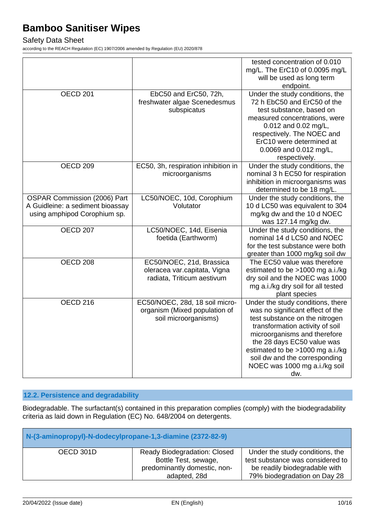### Safety Data Sheet

according to the REACH Regulation (EC) 1907/2006 amended by Regulation (EU) 2020/878

|                                                                                                  |                                                                                         | tested concentration of 0.010<br>mg/L. The ErC10 of 0.0095 mg/L<br>will be used as long term<br>endpoint.                                                                                                                                                                                                             |
|--------------------------------------------------------------------------------------------------|-----------------------------------------------------------------------------------------|-----------------------------------------------------------------------------------------------------------------------------------------------------------------------------------------------------------------------------------------------------------------------------------------------------------------------|
| <b>OECD 201</b>                                                                                  | EbC50 and ErC50, 72h,<br>freshwater algae Scenedesmus<br>subspicatus                    | Under the study conditions, the<br>72 h EbC50 and ErC50 of the<br>test substance, based on<br>measured concentrations, were<br>0.012 and 0.02 mg/L,<br>respectively. The NOEC and<br>ErC10 were determined at<br>0.0069 and 0.012 mg/L,<br>respectively.                                                              |
| OECD <sub>209</sub>                                                                              | EC50, 3h, respiration inhibition in<br>microorganisms                                   | Under the study conditions, the<br>nominal 3 h EC50 for respiration<br>inhibition in microorganisms was<br>determined to be 18 mg/L.                                                                                                                                                                                  |
| OSPAR Commission (2006) Part<br>A Guidleine: a sediment bioassay<br>using amphipod Corophium sp. | LC50/NOEC, 10d, Corophium<br>Volutator                                                  | Under the study conditions, the<br>10 d LC50 was equivalent to 304<br>mg/kg dw and the 10 d NOEC<br>was 127.14 mg/kg dw.                                                                                                                                                                                              |
| <b>OECD 207</b>                                                                                  | LC50/NOEC, 14d, Eisenia<br>foetida (Earthworm)                                          | Under the study conditions, the<br>nominal 14 d LC50 and NOEC<br>for the test substance were both<br>greater than 1000 mg/kg soil dw                                                                                                                                                                                  |
| OECD <sub>208</sub>                                                                              | EC50/NOEC, 21d, Brassica<br>oleracea var.capitata, Vigna<br>radiata, Triticum aestivum  | The EC50 value was therefore<br>estimated to be >1000 mg a.i./kg<br>dry soil and the NOEC was 1000<br>mg a.i./kg dry soil for all tested<br>plant species                                                                                                                                                             |
| <b>OECD 216</b>                                                                                  | EC50/NOEC, 28d, 18 soil micro-<br>organism (Mixed population of<br>soil microorganisms) | Under the study conditions, there<br>was no significant effect of the<br>test substance on the nitrogen<br>transformation activity of soil<br>microorganisms and therefore<br>the 28 days EC50 value was<br>estimated to be >1000 mg a.i./kg<br>soil dw and the corresponding<br>NOEC was 1000 mg a.i./kg soil<br>dw. |

## **12.2. Persistence and degradability**

Biodegradable. The surfactant(s) contained in this preparation complies (comply) with the biodegradability criteria as laid down in Regulation (EC) No. 648/2004 on detergents.

| N-(3-aminopropyl)-N-dodecylpropane-1,3-diamine (2372-82-9) |                                                                                                             |                                                                                                                                      |
|------------------------------------------------------------|-------------------------------------------------------------------------------------------------------------|--------------------------------------------------------------------------------------------------------------------------------------|
| OECD 301D                                                  | <b>Ready Biodegradation: Closed</b><br>Bottle Test, sewage,<br>predominantly domestic, non-<br>adapted, 28d | Under the study conditions, the<br>test substance was considered to<br>be readily biodegradable with<br>79% biodegradation on Day 28 |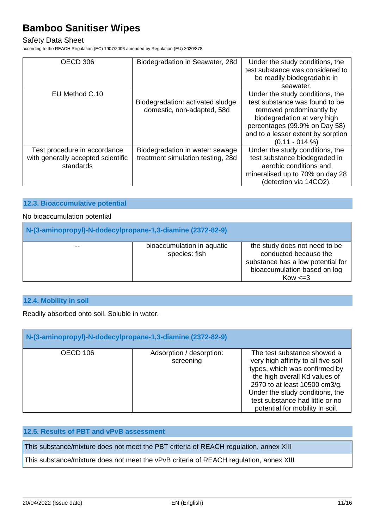## Safety Data Sheet

according to the REACH Regulation (EC) 1907/2006 amended by Regulation (EU) 2020/878

| OECD 306                           | Biodegradation in Seawater, 28d   | Under the study conditions, the    |
|------------------------------------|-----------------------------------|------------------------------------|
|                                    |                                   | test substance was considered to   |
|                                    |                                   | be readily biodegradable in        |
|                                    |                                   | seawater.                          |
| EU Method C.10                     |                                   | Under the study conditions, the    |
|                                    | Biodegradation: activated sludge, | test substance was found to be     |
|                                    | domestic, non-adapted, 58d        | removed predominantly by           |
|                                    |                                   | biodegradation at very high        |
|                                    |                                   | percentages (99.9% on Day 58)      |
|                                    |                                   | and to a lesser extent by sorption |
|                                    |                                   | $(0.11 - 014\%)$                   |
| Test procedure in accordance       | Biodegradation in water: sewage   | Under the study conditions, the    |
| with generally accepted scientific | treatment simulation testing, 28d | test substance biodegraded in      |
| standards                          |                                   | aerobic conditions and             |
|                                    |                                   | mineralised up to 70% on day 28    |
|                                    |                                   | (detection via 14CO2).             |

#### **12.3. Bioaccumulative potential**

#### No bioaccumulation potential

| N-(3-aminopropyl)-N-dodecylpropane-1,3-diamine (2372-82-9) |                                             |                                                                                                                                             |  |
|------------------------------------------------------------|---------------------------------------------|---------------------------------------------------------------------------------------------------------------------------------------------|--|
| $- -$                                                      | bioaccumulation in aquatic<br>species: fish | the study does not need to be<br>conducted because the<br>substance has a low potential for<br>bioaccumulation based on log<br>$Kow \leq 3$ |  |

### **12.4. Mobility in soil**

Readily absorbed onto soil. Soluble in water.

| N-(3-aminopropyl)-N-dodecylpropane-1,3-diamine (2372-82-9) |                                       |                                                                                                                                                                                                                                                                                |  |
|------------------------------------------------------------|---------------------------------------|--------------------------------------------------------------------------------------------------------------------------------------------------------------------------------------------------------------------------------------------------------------------------------|--|
| OECD 106                                                   | Adsorption / desorption:<br>screening | The test substance showed a<br>very high affinity to all five soil<br>types, which was confirmed by<br>the high overall Kd values of<br>2970 to at least 10500 cm3/g.<br>Under the study conditions, the<br>test substance had little or no<br>potential for mobility in soil. |  |

# **12.5. Results of PBT and vPvB assessment**

This substance/mixture does not meet the PBT criteria of REACH regulation, annex XIII

This substance/mixture does not meet the vPvB criteria of REACH regulation, annex XIII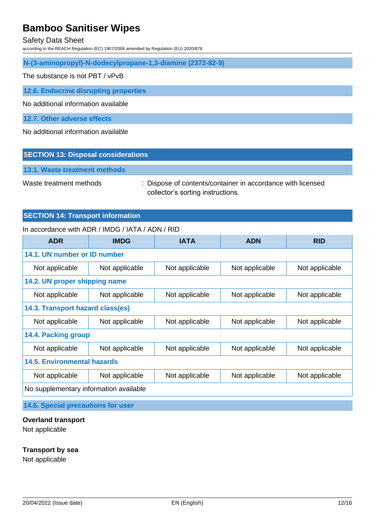#### Safety Data Sheet

according to the REACH Regulation (EC) 1907/2006 amended by Regulation (EU) 2020/878

**N-(3-aminopropyl)-N-dodecylpropane-1,3-diamine (2372-82-9)**

The substance is not PBT / vPvB

**12.6. Endocrine disrupting properties**

No additional information available

**12.7. Other adverse effects**

No additional information available

#### **SECTION 13: Disposal considerations**

**13.1. Waste treatment methods**

Waste treatment methods : Dispose of contents/container in accordance with licensed collector's sorting instructions.

#### **SECTION 14: Transport information**

#### In accordance with ADR / IMDG / IATA / ADN / RID

| <b>ADR</b>                             | <b>IMDG</b>    | <b>IATA</b>    | <b>ADN</b>     | <b>RID</b>     |
|----------------------------------------|----------------|----------------|----------------|----------------|
| 14.1. UN number or ID number           |                |                |                |                |
| Not applicable                         | Not applicable | Not applicable | Not applicable | Not applicable |
| 14.2. UN proper shipping name          |                |                |                |                |
| Not applicable                         | Not applicable | Not applicable | Not applicable | Not applicable |
| 14.3. Transport hazard class(es)       |                |                |                |                |
| Not applicable                         | Not applicable | Not applicable | Not applicable | Not applicable |
| <b>14.4. Packing group</b>             |                |                |                |                |
| Not applicable                         | Not applicable | Not applicable | Not applicable | Not applicable |
| <b>14.5. Environmental hazards</b>     |                |                |                |                |
| Not applicable                         | Not applicable | Not applicable | Not applicable | Not applicable |
| No supplementary information available |                |                |                |                |

**14.6. Special precautions for user**

#### **Overland transport**

Not applicable

#### **Transport by sea**

Not applicable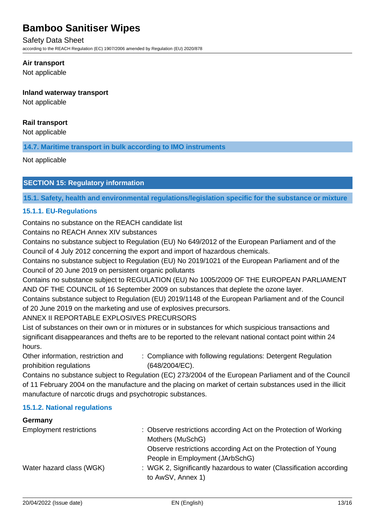#### Safety Data Sheet

according to the REACH Regulation (EC) 1907/2006 amended by Regulation (EU) 2020/878

#### **Air transport**

Not applicable

#### **Inland waterway transport**

Not applicable

### **Rail transport**

Not applicable

**14.7. Maritime transport in bulk according to IMO instruments**

Not applicable

#### **SECTION 15: Regulatory information**

**15.1. Safety, health and environmental regulations/legislation specific for the substance or mixture**

#### **15.1.1. EU-Regulations**

Contains no substance on the REACH candidate list

Contains no REACH Annex XIV substances

Contains no substance subject to Regulation (EU) No 649/2012 of the European Parliament and of the Council of 4 July 2012 concerning the export and import of hazardous chemicals.

Contains no substance subject to Regulation (EU) No 2019/1021 of the European Parliament and of the Council of 20 June 2019 on persistent organic pollutants

Contains no substance subject to REGULATION (EU) No 1005/2009 OF THE EUROPEAN PARLIAMENT AND OF THE COUNCIL of 16 September 2009 on substances that deplete the ozone layer.

Contains substance subject to Regulation (EU) 2019/1148 of the European Parliament and of the Council of 20 June 2019 on the marketing and use of explosives precursors.

### ANNEX II REPORTABLE EXPLOSIVES PRECURSORS

List of substances on their own or in mixtures or in substances for which suspicious transactions and significant disappearances and thefts are to be reported to the relevant national contact point within 24 hours.

Other information, restriction and prohibition regulations : Compliance with following regulations: Detergent Regulation (648/2004/EC).

Contains no substance subject to Regulation (EC) 273/2004 of the European Parliament and of the Council of 11 February 2004 on the manufacture and the placing on market of certain substances used in the illicit manufacture of narcotic drugs and psychotropic substances.

#### **15.1.2. National regulations**

# **Germany** Employment restrictions : Observe restrictions according Act on the Protection of Working Mothers (MuSchG) Observe restrictions according Act on the Protection of Young People in Employment (JArbSchG) Water hazard class (WGK) : WGK 2, Significantly hazardous to water (Classification according to AwSV, Annex 1)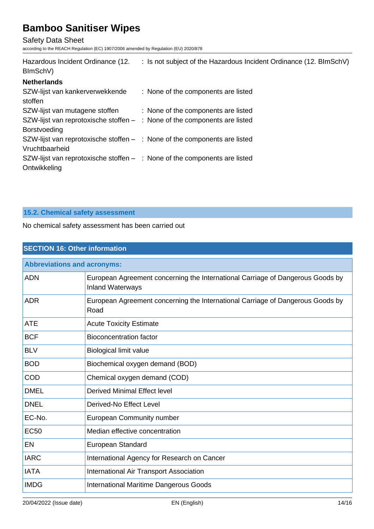Safety Data Sheet

according to the REACH Regulation (EC) 1907/2006 amended by Regulation (EU) 2020/878

| Hazardous Incident Ordinance (12.<br>BImSchV)                                                      | : Is not subject of the Hazardous Incident Ordinance (12. BImSchV) |
|----------------------------------------------------------------------------------------------------|--------------------------------------------------------------------|
| <b>Netherlands</b>                                                                                 |                                                                    |
| SZW-lijst van kankerverwekkende<br>stoffen                                                         | : None of the components are listed                                |
| SZW-lijst van mutagene stoffen                                                                     | : None of the components are listed                                |
| SZW-lijst van reprotoxische stoffen $-$ : None of the components are listed<br><b>Borstvoeding</b> |                                                                    |
| SZW-lijst van reprotoxische stoffen $-$ : None of the components are listed<br>Vruchtbaarheid      |                                                                    |
| SZW-lijst van reprotoxische stoffen $-$ : None of the components are listed<br>Ontwikkeling        |                                                                    |

## **15.2. Chemical safety assessment**

No chemical safety assessment has been carried out

| <b>SECTION 16: Other information</b> |                                                                                                           |  |
|--------------------------------------|-----------------------------------------------------------------------------------------------------------|--|
| <b>Abbreviations and acronyms:</b>   |                                                                                                           |  |
| <b>ADN</b>                           | European Agreement concerning the International Carriage of Dangerous Goods by<br><b>Inland Waterways</b> |  |
| <b>ADR</b>                           | European Agreement concerning the International Carriage of Dangerous Goods by<br>Road                    |  |
| <b>ATE</b>                           | <b>Acute Toxicity Estimate</b>                                                                            |  |
| <b>BCF</b>                           | <b>Bioconcentration factor</b>                                                                            |  |
| <b>BLV</b>                           | <b>Biological limit value</b>                                                                             |  |
| <b>BOD</b>                           | Biochemical oxygen demand (BOD)                                                                           |  |
| <b>COD</b>                           | Chemical oxygen demand (COD)                                                                              |  |
| <b>DMEL</b>                          | <b>Derived Minimal Effect level</b>                                                                       |  |
| <b>DNEL</b>                          | Derived-No Effect Level                                                                                   |  |
| EC-No.                               | <b>European Community number</b>                                                                          |  |
| <b>EC50</b>                          | Median effective concentration                                                                            |  |
| EN                                   | European Standard                                                                                         |  |
| <b>IARC</b>                          | International Agency for Research on Cancer                                                               |  |
| <b>IATA</b>                          | <b>International Air Transport Association</b>                                                            |  |
| <b>IMDG</b>                          | <b>International Maritime Dangerous Goods</b>                                                             |  |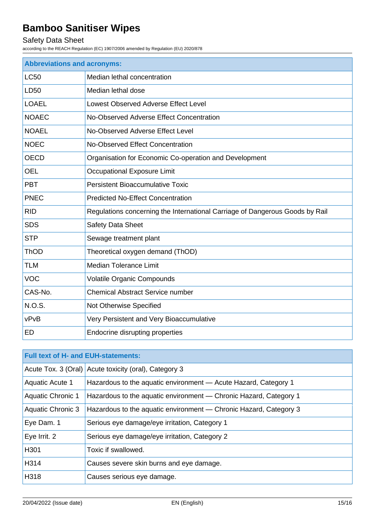# Safety Data Sheet

according to the REACH Regulation (EC) 1907/2006 amended by Regulation (EU) 2020/878

| <b>Abbreviations and acronyms:</b> |                                                                              |  |
|------------------------------------|------------------------------------------------------------------------------|--|
| <b>LC50</b>                        | Median lethal concentration                                                  |  |
| <b>LD50</b>                        | Median lethal dose                                                           |  |
| <b>LOAEL</b>                       | Lowest Observed Adverse Effect Level                                         |  |
| <b>NOAEC</b>                       | No-Observed Adverse Effect Concentration                                     |  |
| <b>NOAEL</b>                       | No-Observed Adverse Effect Level                                             |  |
| <b>NOEC</b>                        | No-Observed Effect Concentration                                             |  |
| <b>OECD</b>                        | Organisation for Economic Co-operation and Development                       |  |
| <b>OEL</b>                         | <b>Occupational Exposure Limit</b>                                           |  |
| <b>PBT</b>                         | <b>Persistent Bioaccumulative Toxic</b>                                      |  |
| <b>PNEC</b>                        | <b>Predicted No-Effect Concentration</b>                                     |  |
| <b>RID</b>                         | Regulations concerning the International Carriage of Dangerous Goods by Rail |  |
| <b>SDS</b>                         | <b>Safety Data Sheet</b>                                                     |  |
| <b>STP</b>                         | Sewage treatment plant                                                       |  |
| ThOD                               | Theoretical oxygen demand (ThOD)                                             |  |
| <b>TLM</b>                         | <b>Median Tolerance Limit</b>                                                |  |
| <b>VOC</b>                         | <b>Volatile Organic Compounds</b>                                            |  |
| CAS-No.                            | <b>Chemical Abstract Service number</b>                                      |  |
| <b>N.O.S.</b>                      | Not Otherwise Specified                                                      |  |
| vPvB                               | Very Persistent and Very Bioaccumulative                                     |  |
| ED                                 | Endocrine disrupting properties                                              |  |

| <b>Full text of H- and EUH-statements:</b> |                                                                   |  |
|--------------------------------------------|-------------------------------------------------------------------|--|
|                                            | Acute Tox. 3 (Oral) Acute toxicity (oral), Category 3             |  |
| <b>Aquatic Acute 1</b>                     | Hazardous to the aquatic environment - Acute Hazard, Category 1   |  |
| <b>Aquatic Chronic 1</b>                   | Hazardous to the aquatic environment — Chronic Hazard, Category 1 |  |
| <b>Aquatic Chronic 3</b>                   | Hazardous to the aquatic environment - Chronic Hazard, Category 3 |  |
| Eye Dam. 1                                 | Serious eye damage/eye irritation, Category 1                     |  |
| Eye Irrit. 2                               | Serious eye damage/eye irritation, Category 2                     |  |
| H301                                       | Toxic if swallowed.                                               |  |
| H314                                       | Causes severe skin burns and eye damage.                          |  |
| H318                                       | Causes serious eye damage.                                        |  |